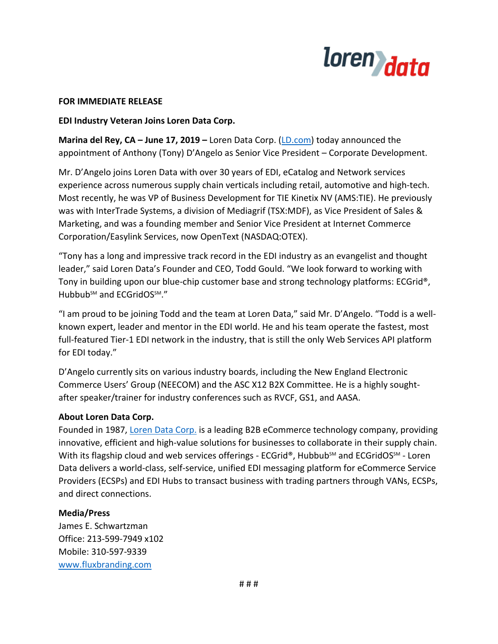

## **FOR IMMEDIATE RELEASE**

## **EDI Industry Veteran Joins Loren Data Corp.**

**Marina del Rey, CA – June 17, 2019 –** Loren Data Corp. [\(LD.com\)](https://ld.com/) today announced the appointment of Anthony (Tony) D'Angelo as Senior Vice President – Corporate Development.

Mr. D'Angelo joins Loren Data with over 30 years of EDI, eCatalog and Network services experience across numerous supply chain verticals including retail, automotive and high-tech. Most recently, he was VP of Business Development for TIE Kinetix NV (AMS:TIE). He previously was with InterTrade Systems, a division of Mediagrif (TSX:MDF), as Vice President of Sales & Marketing, and was a founding member and Senior Vice President at Internet Commerce Corporation/Easylink Services, now OpenText (NASDAQ:OTEX).

"Tony has a long and impressive track record in the EDI industry as an evangelist and thought leader," said Loren Data's Founder and CEO, Todd Gould. "We look forward to working with Tony in building upon our blue-chip customer base and strong technology platforms: ECGrid®, Hubbub<sup>sM</sup> and ECGridOS<sup>SM</sup>."

"I am proud to be joining Todd and the team at Loren Data," said Mr. D'Angelo. "Todd is a wellknown expert, leader and mentor in the EDI world. He and his team operate the fastest, most full-featured Tier-1 EDI network in the industry, that is still the only Web Services API platform for EDI today."

D'Angelo currently sits on various industry boards, including the New England Electronic Commerce Users' Group (NEECOM) and the ASC X12 B2X Committee. He is a highly soughtafter speaker/trainer for industry conferences such as RVCF, GS1, and AASA.

## **About Loren Data Corp.**

Founded in 1987, [Loren Data Corp.](https://ld.com/) is a leading B2B eCommerce technology company, providing innovative, efficient and high-value solutions for businesses to collaborate in their supply chain. With its flagship cloud and web services offerings - ECGrid®, Hubbub<sup>SM</sup> and ECGridOS<sup>SM</sup> - Loren Data delivers a world-class, self-service, unified EDI messaging platform for eCommerce Service Providers (ECSPs) and EDI Hubs to transact business with trading partners through VANs, ECSPs, and direct connections.

## **Media/Press**

James E. Schwartzman Office: 213-599-7949 x102 Mobile: 310-597-9339 [www.fluxbranding.com](http://www.fluxbranding.com/)